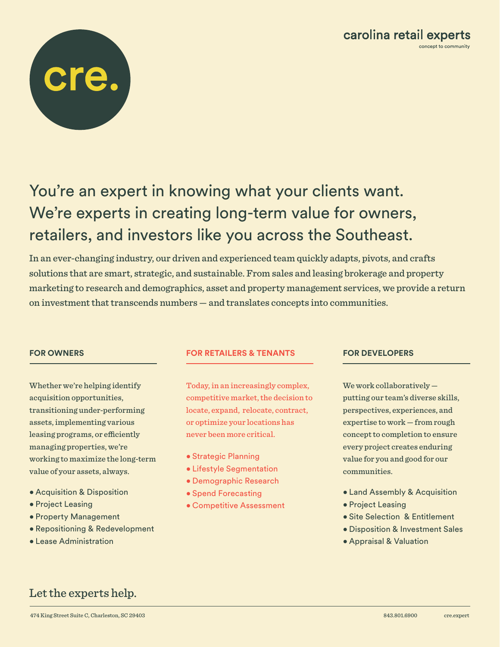# You're an expert in knowing what your clients want. We're experts in creating long-term value for owners, retailers, and investors like you across the Southeast.

In an ever-changing industry, our driven and experienced team quickly adapts, pivots, and crafts solutions that are smart, strategic, and sustainable. From sales and leasing brokerage and property marketing to research and demographics, asset and property management services, we provide a return on investment that transcends numbers — and translates concepts into communities.

Whether we're helping identify acquisition opportunities, transitioning under-performing assets, implementing various leasing programs, or efficiently managing properties, we're working to maximize the long-term value of your assets, always.

- Acquisition & Disposition
- Project Leasing
- Property Management
- Repositioning & Redevelopment
- Lease Administration

## **FOR OWNERS FOR RETAILERS & TENANTS FOR DEVELOPERS**

Today, in an increasingly complex, competitive market, the decision to locate, expand, relocate, contract, or optimize your locations has never been more critical.

- Strategic Planning
- Lifestyle Segmentation
- Demographic Research
- Spend Forecasting
- Competitive Assessment

We work collaboratively putting our team's diverse skills, perspectives, experiences, and expertise to work — from rough concept to completion to ensure every project creates enduring value for you and good for our communities.

- Land Assembly & Acquisition
- Project Leasing
- Site Selection & Entitlement
- Disposition & Investment Sales
- Appraisal & Valuation

# Let the experts help.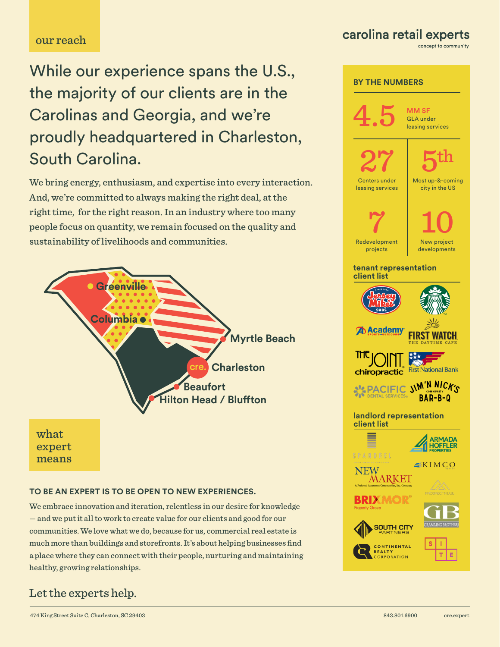# our reach

While our experience spans the U.S., the majority of our clients are in the Carolinas and Georgia, and we're proudly headquartered in Charleston, South Carolina.

We bring energy, enthusiasm, and expertise into every interaction. And, we're committed to always making the right deal, at the right time, for the right reason. In an industry where too many people focus on quantity, we remain focused on the quality and sustainability of livelihoods and communities.



#### **TO BE AN EXPERT IS TO BE OPEN TO NEW EXPERIENCES.**

We embrace innovation and iteration, relentless in our desire for knowledge — and we put it all to work to create value for our clients and good for our communities. We love what we do, because for us, commercial real estate is much more than buildings and storefronts. It's about helping businesses find a place where they can connect with their people, nurturing and maintaining healthy, growing relationships.

# Let the experts help.

474 King Street Suite C, Charleston, SC 29403 843.801.6900 cre.expert

# carolina retail experts

concept to community

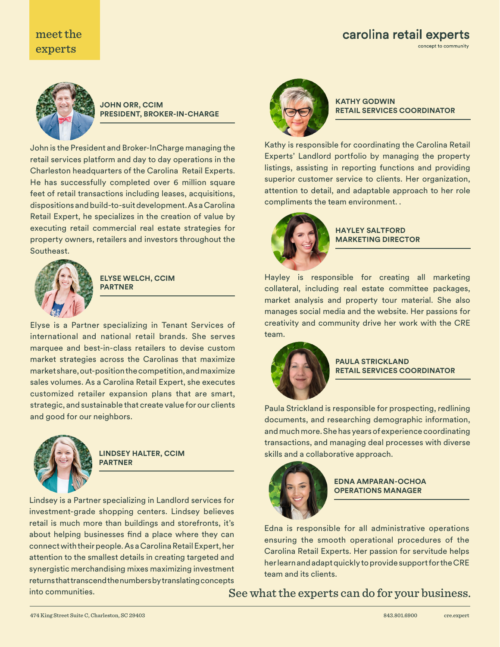# carolina retail experts concept to community

# meet the experts



**JOHN ORR, CCIM PRESIDENT, BROKER-IN-CHARGE**

John is the President and Broker-InCharge managing the retail services platform and day to day operations in the Charleston headquarters of the Carolina Retail Experts. He has successfully completed over 6 million square feet of retail transactions including leases, acquisitions, dispositions and build-to-suit development. As a Carolina Retail Expert, he specializes in the creation of value by executing retail commercial real estate strategies for property owners, retailers and investors throughout the Southeast.



**ELYSE WELCH, CCIM PARTNER**

Elyse is a Partner specializing in Tenant Services of international and national retail brands. She serves marquee and best-in-class retailers to devise custom market strategies across the Carolinas that maximize market share, out-position the competition, and maximize sales volumes. As a Carolina Retail Expert, she executes customized retailer expansion plans that are smart, strategic, and sustainable that create value for our clients and good for our neighbors.



**LINDSEY HALTER, CCIM PARTNER**

into communities. Lindsey is a Partner specializing in Landlord services for investment-grade shopping centers. Lindsey believes retail is much more than buildings and storefronts, it's about helping businesses find a place where they can connect with their people. As a Carolina Retail Expert, her attention to the smallest details in creating targeted and synergistic merchandising mixes maximizing investment returns that transcend the numbers by translating concepts



## **KATHY GODWIN RETAIL SERVICES COORDINATOR**

Kathy is responsible for coordinating the Carolina Retail Experts' Landlord portfolio by managing the property listings, assisting in reporting functions and providing superior customer service to clients. Her organization, attention to detail, and adaptable approach to her role compliments the team environment. .



### **HAYLEY SALTFORD MARKETING DIRECTOR**

Hayley is responsible for creating all marketing collateral, including real estate committee packages, market analysis and property tour material. She also manages social media and the website. Her passions for creativity and community drive her work with the CRE team.



### **PAULA STRICKLAND RETAIL SERVICES COORDINATOR**

Paula Strickland is responsible for prospecting, redlining documents, and researching demographic information, and much more. She has years of experience coordinating transactions, and managing deal processes with diverse skills and a collaborative approach.



**EDNA AMPARAN-OCHOA OPERATIONS MANAGER**

Edna is responsible for all administrative operations ensuring the smooth operational procedures of the Carolina Retail Experts. Her passion for servitude helps her learn and adapt quickly to provide support for the CRE team and its clients.

See what the experts can do for your business.